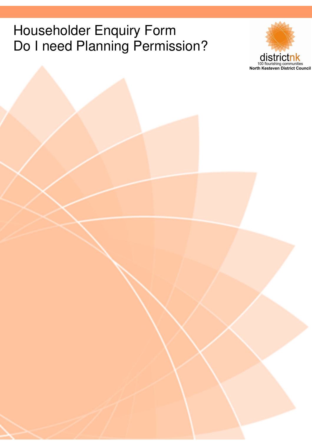# Householder Enquiry Form Do I need Planning Permission?

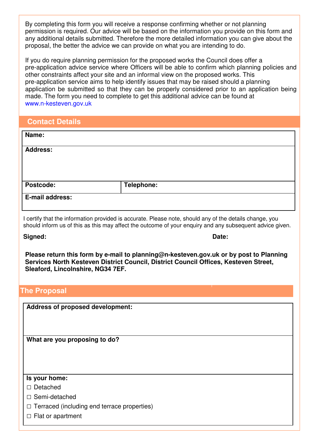By completing this form you will receive a response confirming whether or not planning permission is required. Our advice will be based on the information you provide on this form and any additional details submitted. Therefore the more detailed information you can give about the proposal, the better the advice we can provide on what you are intending to do.

If you do require planning permission for the proposed works the Council does offer a pre-application advice service where Officers will be able to confirm which planning policies and other constraints affect your site and an informal view on the proposed works. This pre-application service aims to help identify issues that may be raised should a planning application be submitted so that they can be properly considered prior to an application being made. The form you need to complete to get this additional advice can be found at www.n-kesteven.gov.uk

| <b>Contact Details</b> |  |  |
|------------------------|--|--|
|                        |  |  |
|                        |  |  |
|                        |  |  |

| Name:           |            |
|-----------------|------------|
| <b>Address:</b> |            |
|                 |            |
| Postcode:       | Telephone: |
|                 |            |
| E-mail address: |            |

I certify that the information provided is accurate. Please note, should any of the details change, you should inform us of this as this may affect the outcome of your enquiry and any subsequent advice given.

**Signed: Date:**

**Please return this form by e-mail to planning@n-kesteven.gov.uk or by post to Planning Services North Kesteven District Council, District Council Offices, Kesteven Street, Sleaford, Lincolnshire, NG34 7EF.**

#### **The Proposal**

**Address of proposed development:**

**What are you proposing to do?**

#### **Is your home:**

Detached

 $\Box$  Semi-detached

 $\Box$  Terraced (including end terrace properties)

 $\Box$  Flat or apartment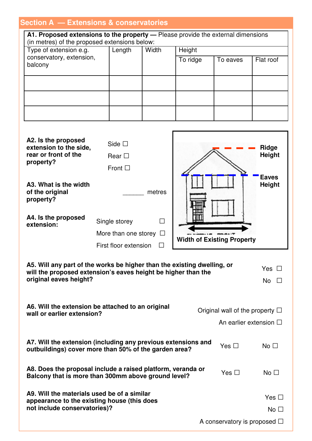## **Section A — Extensions & conservatories**

|                                                                                                                                   |  | поноклю в солюствающее      |              |                                   |                                      |               |
|-----------------------------------------------------------------------------------------------------------------------------------|--|-----------------------------|--------------|-----------------------------------|--------------------------------------|---------------|
| A1. Proposed extensions to the property - Please provide the external dimensions<br>(in metres) of the proposed extensions below: |  |                             |              |                                   |                                      |               |
| Type of extension e.g.                                                                                                            |  | Length                      | Width        | Height                            |                                      |               |
| conservatory, extension,                                                                                                          |  |                             |              |                                   |                                      |               |
| balcony                                                                                                                           |  |                             |              | To ridge                          | To eaves                             | Flat roof     |
|                                                                                                                                   |  |                             |              |                                   |                                      |               |
|                                                                                                                                   |  |                             |              |                                   |                                      |               |
|                                                                                                                                   |  |                             |              |                                   |                                      |               |
|                                                                                                                                   |  |                             |              |                                   |                                      |               |
|                                                                                                                                   |  |                             |              |                                   |                                      |               |
|                                                                                                                                   |  |                             |              |                                   |                                      |               |
|                                                                                                                                   |  |                             |              |                                   |                                      |               |
|                                                                                                                                   |  |                             |              |                                   |                                      |               |
|                                                                                                                                   |  |                             |              |                                   |                                      |               |
| A2. Is the proposed                                                                                                               |  | Side $\square$              |              |                                   |                                      |               |
| extension to the side,                                                                                                            |  |                             |              |                                   |                                      | <b>Ridge</b>  |
| rear or front of the                                                                                                              |  | Rear $\square$              |              |                                   |                                      | <b>Height</b> |
| property?                                                                                                                         |  |                             |              |                                   |                                      |               |
|                                                                                                                                   |  | Front $\square$             |              |                                   |                                      |               |
|                                                                                                                                   |  |                             |              |                                   |                                      | <b>Eaves</b>  |
| A3. What is the width                                                                                                             |  |                             |              |                                   |                                      | <b>Height</b> |
| of the original<br>property?                                                                                                      |  |                             | metres       |                                   |                                      |               |
|                                                                                                                                   |  |                             |              |                                   |                                      |               |
|                                                                                                                                   |  |                             |              |                                   |                                      |               |
| A4. Is the proposed                                                                                                               |  | Single storey               | П            |                                   |                                      |               |
| extension:                                                                                                                        |  |                             |              |                                   |                                      |               |
|                                                                                                                                   |  | More than one storey $\Box$ |              |                                   |                                      |               |
|                                                                                                                                   |  | First floor extension       | $\mathbf{I}$ | <b>Width of Existing Property</b> |                                      |               |
|                                                                                                                                   |  |                             |              |                                   |                                      |               |
|                                                                                                                                   |  |                             |              |                                   |                                      |               |
| A5. Will any part of the works be higher than the existing dwelling, or                                                           |  |                             |              |                                   |                                      | Yes $\Box$    |
| will the proposed extension's eaves height be higher than the<br>original eaves height?                                           |  |                             |              |                                   |                                      |               |
|                                                                                                                                   |  |                             |              |                                   |                                      | No $\square$  |
|                                                                                                                                   |  |                             |              |                                   |                                      |               |
|                                                                                                                                   |  |                             |              |                                   |                                      |               |
| A6. Will the extension be attached to an original                                                                                 |  |                             |              |                                   | Original wall of the property $\Box$ |               |
| wall or earlier extension?                                                                                                        |  |                             |              |                                   |                                      |               |
|                                                                                                                                   |  |                             |              |                                   | An earlier extension $\Box$          |               |
|                                                                                                                                   |  |                             |              |                                   |                                      |               |
| A7. Will the extension (including any previous extensions and                                                                     |  |                             |              |                                   |                                      |               |
| outbuildings) cover more than 50% of the garden area?                                                                             |  |                             |              |                                   | Yes $\Box$                           | No $\square$  |
|                                                                                                                                   |  |                             |              |                                   |                                      |               |
|                                                                                                                                   |  |                             |              |                                   |                                      |               |
| A8. Does the proposal include a raised platform, veranda or<br>Yes $\Box$<br>No $\square$                                         |  |                             |              |                                   |                                      |               |
| Balcony that is more than 300mm above ground level?                                                                               |  |                             |              |                                   |                                      |               |
|                                                                                                                                   |  |                             |              |                                   |                                      |               |
| A9. Will the materials used be of a similar                                                                                       |  |                             |              |                                   |                                      | Yes $\Box$    |
| appearance to the existing house (this does                                                                                       |  |                             |              |                                   |                                      |               |

| -- |                              |  |
|----|------------------------------|--|
|    | not include conservatories)? |  |

A conservatory is proposed  $\square$ 

No  $\square$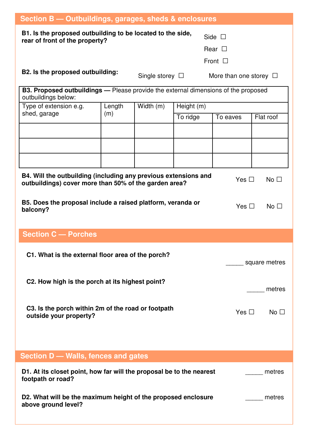| Section B - Outbuildings, garages, sheds & enclosures                                                                                            |               |                      |                        |                             |                 |  |
|--------------------------------------------------------------------------------------------------------------------------------------------------|---------------|----------------------|------------------------|-----------------------------|-----------------|--|
| B1. Is the proposed outbuilding to be located to the side,<br>Side $\square$<br>rear of front of the property?<br>Rear $\Box$<br>Front $\square$ |               |                      |                        |                             |                 |  |
| B2. Is the proposed outbuilding:                                                                                                                 |               | Single storey $\Box$ |                        | More than one storey $\Box$ |                 |  |
| <b>B3. Proposed outbuildings</b> — Please provide the external dimensions of the proposed<br>outbuildings below:                                 |               |                      |                        |                             |                 |  |
| Type of extension e.g.<br>shed, garage                                                                                                           | Length<br>(m) | Width (m)            | Height (m)<br>To ridge | To eaves                    | Flat roof       |  |
|                                                                                                                                                  |               |                      |                        |                             |                 |  |
|                                                                                                                                                  |               |                      |                        |                             |                 |  |
|                                                                                                                                                  |               |                      |                        |                             |                 |  |
| B4. Will the outbuilding (including any previous extensions and<br>outbuildings) cover more than 50% of the garden area?                         |               |                      |                        | Yes $\Box$                  | No <sub>1</sub> |  |
| B5. Does the proposal include a raised platform, veranda or<br>balcony?                                                                          |               |                      |                        | Yes $\Box$                  | No <sub>1</sub> |  |
| <b>Section C - Porches</b>                                                                                                                       |               |                      |                        |                             |                 |  |
| C1. What is the external floor area of the porch?                                                                                                |               |                      |                        |                             | square metres   |  |
| C2. How high is the porch at its highest point?                                                                                                  |               |                      |                        |                             | metres          |  |
| C3. Is the porch within 2m of the road or footpath<br>outside your property?                                                                     |               |                      | Yes $\Box$             | No $\square$                |                 |  |
|                                                                                                                                                  |               |                      |                        |                             |                 |  |
| Section D - Walls, fences and gates                                                                                                              |               |                      |                        |                             |                 |  |
| D1. At its closet point, how far will the proposal be to the nearest<br>metres<br>footpath or road?                                              |               |                      |                        |                             |                 |  |
| D2. What will be the maximum height of the proposed enclosure<br>above ground level?                                                             |               |                      |                        | metres                      |                 |  |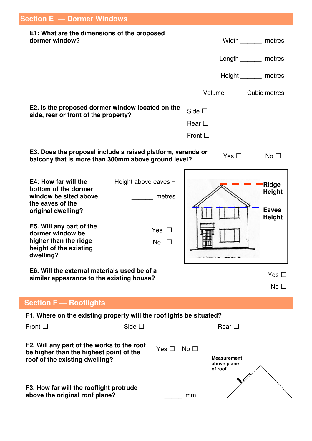| <b>Section E - Dormer Windows</b>                                                                                                                                                                                               |                                                             |                                                              |                                                          |
|---------------------------------------------------------------------------------------------------------------------------------------------------------------------------------------------------------------------------------|-------------------------------------------------------------|--------------------------------------------------------------|----------------------------------------------------------|
| E1: What are the dimensions of the proposed<br>dormer window?                                                                                                                                                                   |                                                             | Width metres                                                 |                                                          |
|                                                                                                                                                                                                                                 |                                                             | Length _______ metres                                        |                                                          |
|                                                                                                                                                                                                                                 |                                                             | Height ________ metres                                       |                                                          |
|                                                                                                                                                                                                                                 |                                                             | Volume_________ Cubic metres                                 |                                                          |
| E2. Is the proposed dormer window located on the<br>side, rear or front of the property?                                                                                                                                        |                                                             | Side $\square$<br>Rear $\square$<br>Front $\square$          |                                                          |
| E3. Does the proposal include a raised platform, veranda or<br>balcony that is more than 300mm above ground level?                                                                                                              |                                                             | Yes $\Box$                                                   | No $\square$                                             |
| E4: How far will the<br>bottom of the dormer<br>window be sited above<br>the eaves of the<br>original dwelling?<br>E5. Will any part of the<br>dormer window be<br>higher than the ridge<br>height of the existing<br>dwelling? | Height above eaves $=$<br>metres<br>Yes $\Box$<br><b>No</b> |                                                              | -Ridge<br><b>Height</b><br><b>Eaves</b><br><b>Height</b> |
| E6. Will the external materials used be of a<br>similar appearance to the existing house?                                                                                                                                       |                                                             |                                                              | Yes $\Box$<br>No $\Box$                                  |
| <b>Section F - Rooflights</b>                                                                                                                                                                                                   |                                                             |                                                              |                                                          |
| F1. Where on the existing property will the rooflights be situated?                                                                                                                                                             |                                                             |                                                              |                                                          |
| Front $\square$                                                                                                                                                                                                                 | Side $\square$                                              | Rear $\Box$                                                  |                                                          |
| F2. Will any part of the works to the roof<br>be higher than the highest point of the<br>roof of the existing dwelling?                                                                                                         | Yes $\Box$                                                  | No $\square$<br><b>Measurement</b><br>above plane<br>of roof |                                                          |
| F3. How far will the rooflight protrude<br>above the original roof plane?                                                                                                                                                       |                                                             | mm                                                           |                                                          |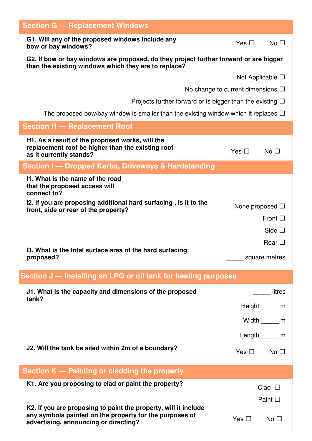| <b>Section G - Replacement Windows</b>                                                                                                        |                                         |
|-----------------------------------------------------------------------------------------------------------------------------------------------|-----------------------------------------|
| G1. Will any of the proposed windows include any<br>bow or bay windows?                                                                       | Yes $\Box$<br>No $\Box$                 |
| G2. If bow or bay windows are proposed, do they project further forward or are bigger<br>than the existing windows which they are to replace? |                                         |
|                                                                                                                                               | Not Applicable $\square$                |
|                                                                                                                                               | No change to current dimensions $\Box$  |
| Projects further forward or is bigger than the existing $\Box$                                                                                |                                         |
| The proposed bow/bay window is smaller than the existing window which it replaces $\Box$                                                      |                                         |
| <b>Section H - Replacement Roof</b>                                                                                                           |                                         |
| H1. As a result of the proposed works, will the<br>replacement roof be higher than the existing roof<br>as it currently stands?               | Yes $\Box$<br>No $\Box$                 |
| Section I — Dropped Kerbs, Driveways & Hardstanding                                                                                           |                                         |
| 11. What is the name of the road<br>that the proposed access will<br>connect to?                                                              |                                         |
| I2. If you are proposing additional hard surfacing, is it to the<br>front, side or rear of the property?                                      | None proposed $\Box$<br>Front $\square$ |
|                                                                                                                                               | Side $\square$                          |
| 13. What is the total surface area of the hard surfacing                                                                                      | Rear $\Box$                             |
| proposed?                                                                                                                                     | square metres                           |
| Section J - Installing an LPG or oil tank for heating purposes                                                                                |                                         |
| J1. What is the capacity and dimensions of the proposed                                                                                       | <b>litres</b>                           |
| tank?                                                                                                                                         | Height ______ m                         |
|                                                                                                                                               | Width $\qquad$ m                        |
|                                                                                                                                               | Length $\_\_\_\$ m                      |
| J2. Will the tank be sited within 2m of a boundary?                                                                                           | $Yes \Box$ No $\Box$                    |
| Section K — Painting or cladding the property                                                                                                 |                                         |
| K1. Are you proposing to clad or paint the property?                                                                                          |                                         |
|                                                                                                                                               | $Clad$ $\square$                        |
| K2. If you are proposing to paint the property, will it include<br>any symbols painted on the property for the purposes of                    | Paint $\square$                         |
| advertising, announcing or directing?                                                                                                         | Yes $\Box$<br>No $\square$              |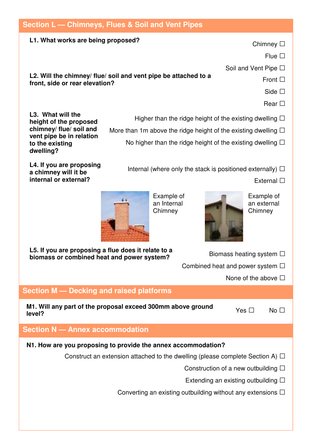### **Section L — Chimneys, Flues & Soil and Vent Pipes**

#### **L1. What works are being proposed?**

Chimney  $\square$ 

Flue  $\square$ 

Soil and Vent Pipe  $\square$ 

**L2. Will the chimney/ flue/ soil and vent pipe be attached to a front, side or rear elevation?**

Side  $\Box$ 

Front  $\Box$ 

Rear  $\Box$ 

Higher than the ridge height of the existing dwelling  $\Box$ 

More than 1m above the ridge height of the existing dwelling  $\square$ No higher than the ridge height of the existing dwelling  $\Box$ 

**L4. If you are proposing a chimney will it be internal or external?**

**L3. What will the**

**to the existing dwelling?**

**height of the proposed chimney/ flue/ soil and vent pipe be in relation**

Internal (where only the stack is positioned externally)  $\Box$ 

External  $\Box$ 



Example of an Internal **Chimney** 



Example of an external **Chimney** 

 $Yes \Box \qquad No \Box$ 

**L5. If you are proposing a flue does it relate to a biomass or combined heat and power system?**

| <b>you are proposing a nue does it relate to a</b><br>ass or combined heat and power system? | Biomass heating system $\Box$         |
|----------------------------------------------------------------------------------------------|---------------------------------------|
|                                                                                              | Combined heat and power system $\Box$ |
|                                                                                              | None of the above $\square$           |
| n M Dooking and raised platforms                                                             |                                       |

### **Section M — Decking and raised platforms**

**M1. Will any part of the proposal exceed 300mm above ground level?**

## **Section N — Annex accommodation**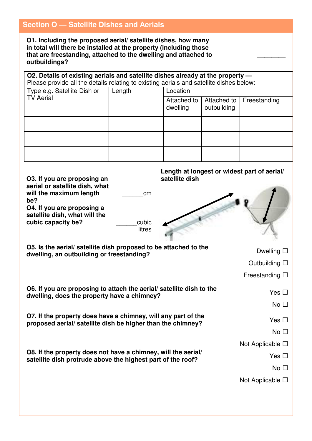### **Section O — Satellite Dishes and Aerials**

**O1. Including the proposed aerial/ satellite dishes, how many in total will there be installed at the property (including those that are freestanding, attached to the dwelling and attached to outbuildings?**

**O2. Details of existing aerials and satellite dishes already at the property —** Please provide all the details relating to existing aerials and satellite dishes below:

| Type e.g. Satellite Dish or<br>Length<br><b>TV Aerial</b> |                         | Location                   |              |  |  |
|-----------------------------------------------------------|-------------------------|----------------------------|--------------|--|--|
|                                                           | Attached to<br>dwelling | Attached to<br>outbuilding | Freestanding |  |  |
|                                                           |                         |                            |              |  |  |
|                                                           |                         |                            |              |  |  |
|                                                           |                         |                            |              |  |  |

 $\overline{\phantom{a}}$ 

| O3. If you are proposing an<br>aerial or satellite dish, what<br>will the maximum length<br>cm<br>be?<br>O4. If you are proposing a<br>satellite dish, what will the<br>cubic<br>cubic capacity be?<br>litres | Length at longest or widest part of aerial/<br>satellite dish |
|---------------------------------------------------------------------------------------------------------------------------------------------------------------------------------------------------------------|---------------------------------------------------------------|
| O5. Is the aerial/satellite dish proposed to be attached to the                                                                                                                                               | Dwelling $\square$                                            |
| dwelling, an outbuilding or freestanding?                                                                                                                                                                     | Outbuilding $\square$                                         |
|                                                                                                                                                                                                               | Freestanding $\square$                                        |
| O6. If you are proposing to attach the aerial/ satellite dish to the<br>dwelling, does the property have a chimney?                                                                                           | Yes $\Box$<br>No <sub>1</sub>                                 |
| O7. If the property does have a chimney, will any part of the                                                                                                                                                 | Yes $\Box$                                                    |
| proposed aerial/ satellite dish be higher than the chimney?                                                                                                                                                   | No $\square$                                                  |
|                                                                                                                                                                                                               | Not Applicable $\Box$                                         |
| O8. If the property does not have a chimney, will the aerial/<br>satellite dish protrude above the highest part of the roof?                                                                                  | Yes $\Box$                                                    |
|                                                                                                                                                                                                               | No $\Box$                                                     |
|                                                                                                                                                                                                               | Not Applicable $\Box$                                         |
|                                                                                                                                                                                                               |                                                               |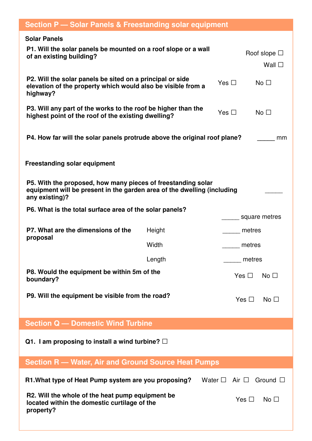| <b>Section P - Solar Panels &amp; Freestanding solar equipment</b>                                                                                        |        |                               |                                        |  |
|-----------------------------------------------------------------------------------------------------------------------------------------------------------|--------|-------------------------------|----------------------------------------|--|
| <b>Solar Panels</b><br>P1. Will the solar panels be mounted on a roof slope or a wall<br>of an existing building?                                         |        |                               | Roof slope $\square$<br>Wall $\square$ |  |
| P2. Will the solar panels be sited on a principal or side<br>elevation of the property which would also be visible from a<br>highway?                     |        | Yes $\Box$                    | No <sub>1</sub>                        |  |
| P3. Will any part of the works to the roof be higher than the<br>highest point of the roof of the existing dwelling?                                      |        | Yes $\Box$                    | No $\square$                           |  |
| P4. How far will the solar panels protrude above the original roof plane?                                                                                 |        |                               | mm                                     |  |
| <b>Freestanding solar equipment</b>                                                                                                                       |        |                               |                                        |  |
| P5. With the proposed, how many pieces of freestanding solar<br>equipment will be present in the garden area of the dwelling (including<br>any existing)? |        |                               |                                        |  |
| P6. What is the total surface area of the solar panels?                                                                                                   |        |                               | square metres                          |  |
| P7. What are the dimensions of the                                                                                                                        | Height |                               | metres                                 |  |
| proposal                                                                                                                                                  | Width  |                               | metres                                 |  |
|                                                                                                                                                           | Length |                               | metres                                 |  |
| P8. Would the equipment be within 5m of the<br>boundary?                                                                                                  |        | Yes $\square$                 | No $\square$                           |  |
| P9. Will the equipment be visible from the road?                                                                                                          |        | Yes $\Box$                    | No <sub>1</sub>                        |  |
| <b>Section Q – Domestic Wind Turbine</b>                                                                                                                  |        |                               |                                        |  |
| Q1. I am proposing to install a wind turbine? $\Box$                                                                                                      |        |                               |                                        |  |
| <b>Section R - Water, Air and Ground Source Heat Pumps</b>                                                                                                |        |                               |                                        |  |
| R1. What type of Heat Pump system are you proposing?                                                                                                      |        | Water $\square$ Air $\square$ | Ground $\Box$                          |  |
| R2. Will the whole of the heat pump equipment be<br>located within the domestic curtilage of the<br>property?                                             |        | Yes $\Box$                    | No $\square$                           |  |